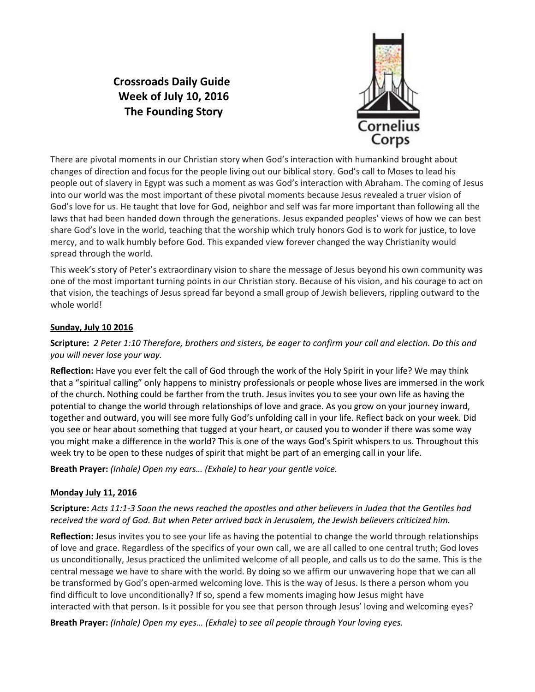# **Crossroads Daily Guide Week of July 10, 2016 The Founding Story**



There are pivotal moments in our Christian story when God's interaction with humankind brought about changes of direction and focus for the people living out our biblical story. God's call to Moses to lead his people out of slavery in Egypt was such a moment as was God's interaction with Abraham. The coming of Jesus into our world was the most important of these pivotal moments because Jesus revealed a truer vision of God's love for us. He taught that love for God, neighbor and self was far more important than following all the laws that had been handed down through the generations. Jesus expanded peoples' views of how we can best share God's love in the world, teaching that the worship which truly honors God is to work for justice, to love mercy, and to walk humbly before God. This expanded view forever changed the way Christianity would spread through the world.

This week's story of Peter's extraordinary vision to share the message of Jesus beyond his own community was one of the most important turning points in our Christian story. Because of his vision, and his courage to act on that vision, the teachings of Jesus spread far beyond a small group of Jewish believers, rippling outward to the whole world!

# **Sunday, July 10 2016**

# **Scripture:** *2 Peter 1:10 Therefore, brothers and sisters, be eager to confirm your call and election. Do this and you will never lose your way.*

**Reflection:** Have you ever felt the call of God through the work of the Holy Spirit in your life? We may think that a "spiritual calling" only happens to ministry professionals or people whose lives are immersed in the work of the church. Nothing could be farther from the truth. Jesus invites you to see your own life as having the potential to change the world through relationships of love and grace. As you grow on your journey inward, together and outward, you will see more fully God's unfolding call in your life. Reflect back on your week. Did you see or hear about something that tugged at your heart, or caused you to wonder if there was some way you might make a difference in the world? This is one of the ways God's Spirit whispers to us. Throughout this week try to be open to these nudges of spirit that might be part of an emerging call in your life.

**Breath Prayer:** *(Inhale) Open my ears… (Exhale) to hear your gentle voice.* 

## **Monday July 11, 2016**

# **Scripture:** *Acts 11:1-3 Soon the news reached the apostles and other believers in Judea that the Gentiles had received the word of God. But when Peter arrived back in Jerusalem, the Jewish believers criticized him.*

**Reflection:** Jesus invites you to see your life as having the potential to change the world through relationships of love and grace. Regardless of the specifics of your own call, we are all called to one central truth; God loves us unconditionally, Jesus practiced the unlimited welcome of all people, and calls us to do the same. This is the central message we have to share with the world. By doing so we affirm our unwavering hope that we can all be transformed by God's open-armed welcoming love. This is the way of Jesus. Is there a person whom you find difficult to love unconditionally? If so, spend a few moments imaging how Jesus might have interacted with that person. Is it possible for you see that person through Jesus' loving and welcoming eyes?

**Breath Prayer:** *(Inhale) Open my eyes… (Exhale) to see all people through Your loving eyes.*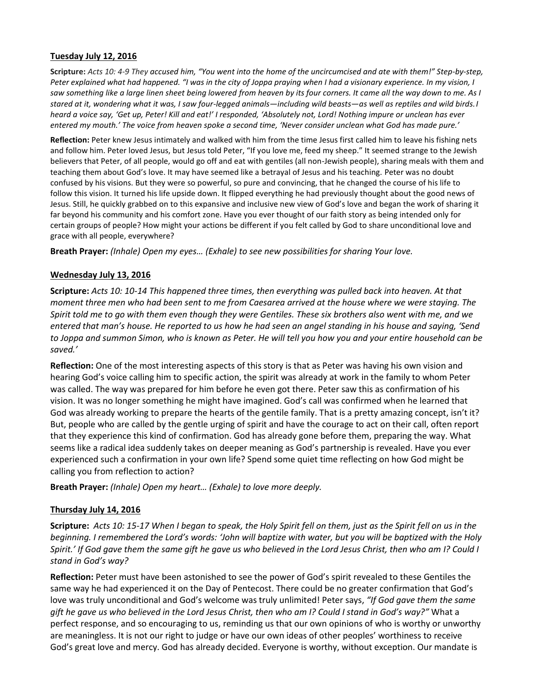#### **Tuesday July 12, 2016**

**Scripture:** *Acts 10: 4-9 They accused him, "You went into the home of the uncircumcised and ate with them!" Step-by-step, Peter explained what had happened. "I was in the city of Joppa praying when I had a visionary experience. In my vision, I saw something like a large linen sheet being lowered from heaven by its four corners. It came all the way down to me. As I stared at it, wondering what it was, I saw four-legged animals—including wild beasts—as well as reptiles and wild birds.I heard a voice say, 'Get up, Peter! Kill and eat!' I responded, 'Absolutely not, Lord! Nothing impure or unclean has ever entered my mouth.' The voice from heaven spoke a second time, 'Never consider unclean what God has made pure.'* 

**Reflection:** Peter knew Jesus intimately and walked with him from the time Jesus first called him to leave his fishing nets and follow him. Peter loved Jesus, but Jesus told Peter, "If you love me, feed my sheep." It seemed strange to the Jewish believers that Peter, of all people, would go off and eat with gentiles (all non-Jewish people), sharing meals with them and teaching them about God's love. It may have seemed like a betrayal of Jesus and his teaching. Peter was no doubt confused by his visions. But they were so powerful, so pure and convincing, that he changed the course of his life to follow this vision. It turned his life upside down. It flipped everything he had previously thought about the good news of Jesus. Still, he quickly grabbed on to this expansive and inclusive new view of God's love and began the work of sharing it far beyond his community and his comfort zone. Have you ever thought of our faith story as being intended only for certain groups of people? How might your actions be different if you felt called by God to share unconditional love and grace with all people, everywhere?

**Breath Prayer:** *(Inhale) Open my eyes… (Exhale) to see new possibilities for sharing Your love.*

#### **Wednesday July 13, 2016**

**Scripture:** *Acts 10: 10-14 This happened three times, then everything was pulled back into heaven. At that moment three men who had been sent to me from Caesarea arrived at the house where we were staying. The Spirit told me to go with them even though they were Gentiles. These six brothers also went with me, and we entered that man's house. He reported to us how he had seen an angel standing in his house and saying, 'Send to Joppa and summon Simon, who is known as Peter. He will tell you how you and your entire household can be saved.'* 

**Reflection:** One of the most interesting aspects of this story is that as Peter was having his own vision and hearing God's voice calling him to specific action, the spirit was already at work in the family to whom Peter was called. The way was prepared for him before he even got there. Peter saw this as confirmation of his vision. It was no longer something he might have imagined. God's call was confirmed when he learned that God was already working to prepare the hearts of the gentile family. That is a pretty amazing concept, isn't it? But, people who are called by the gentle urging of spirit and have the courage to act on their call, often report that they experience this kind of confirmation. God has already gone before them, preparing the way. What seems like a radical idea suddenly takes on deeper meaning as God's partnership is revealed. Have you ever experienced such a confirmation in your own life? Spend some quiet time reflecting on how God might be calling you from reflection to action?

**Breath Prayer:** *(Inhale) Open my heart… (Exhale) to love more deeply.*

## **Thursday July 14, 2016**

**Scripture:** *Acts 10: 15-17 When I began to speak, the Holy Spirit fell on them, just as the Spirit fell on us in the beginning. I remembered the Lord's words: 'John will baptize with water, but you will be baptized with the Holy Spirit.' If God gave them the same gift he gave us who believed in the Lord Jesus Christ, then who am I? Could I stand in God's way?*

**Reflection:** Peter must have been astonished to see the power of God's spirit revealed to these Gentiles the same way he had experienced it on the Day of Pentecost. There could be no greater confirmation that God's love was truly unconditional and God's welcome was truly unlimited! Peter says, *"If God gave them the same gift he gave us who believed in the Lord Jesus Christ, then who am I? Could I stand in God's way?"* What a perfect response, and so encouraging to us, reminding us that our own opinions of who is worthy or unworthy are meaningless. It is not our right to judge or have our own ideas of other peoples' worthiness to receive God's great love and mercy. God has already decided. Everyone is worthy, without exception. Our mandate is